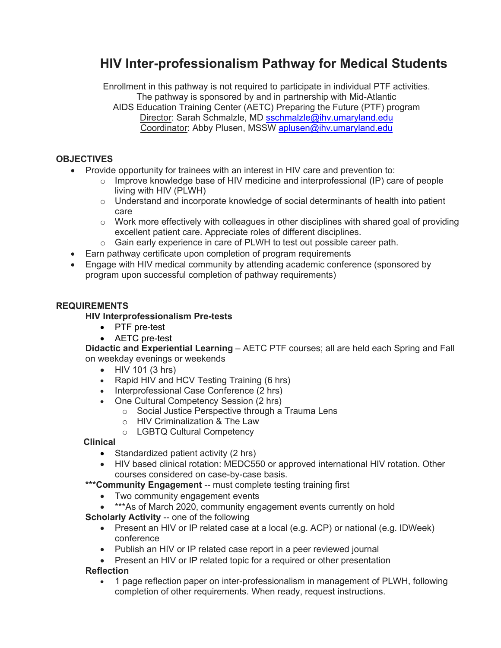# **HIV Inter-professionalism Pathway for Medical Students**

Enrollment in this pathway is not required to participate in individual PTF activities. The pathway is sponsored by and in partnership with Mid-Atlantic AIDS Education Training Center (AETC) Preparing the Future (PTF) program Director: Sarah Schmalzle, MD [sschmalzle@ihv.umaryland.edu](mailto:sschmalzle@ihv.umaryland.edu) Coordinator: Abby Plusen, MSSW [aplusen@ihv.umaryland.edu](mailto:aplusen@ihv.umaryland.edu)

### **OBJECTIVES**

- Provide opportunity for trainees with an interest in HIV care and prevention to:
	- o Improve knowledge base of HIV medicine and interprofessional (IP) care of people living with HIV (PLWH)
	- $\circ$  Understand and incorporate knowledge of social determinants of health into patient care
	- $\circ$  Work more effectively with colleagues in other disciplines with shared goal of providing excellent patient care. Appreciate roles of different disciplines.
	- o Gain early experience in care of PLWH to test out possible career path.
	- Earn pathway certificate upon completion of program requirements
- Engage with HIV medical community by attending academic conference (sponsored by program upon successful completion of pathway requirements)

## **REQUIREMENTS**

### **HIV Interprofessionalism Pre-tests**

- PTF pre-test
- AETC pre-test

**Didactic and Experiential Learning** – AETC PTF courses; all are held each Spring and Fall on weekday evenings or weekends

- HIV 101 (3 hrs)
- Rapid HIV and HCV Testing Training (6 hrs)
- Interprofessional Case Conference (2 hrs)
- One Cultural Competency Session (2 hrs)
	- o Social Justice Perspective through a Trauma Lens
	- o HIV Criminalization & The Law
	- o LGBTQ Cultural Competency

## **Clinical**

- Standardized patient activity (2 hrs)
- HIV based clinical rotation: MEDC550 or approved international HIV rotation. Other courses considered on case-by-case basis.
- \*\*\* Community Engagement -- must complete testing training first
	- Two community engagement events
	- \*\*\* As of March 2020, community engagement events currently on hold
- **Scholarly Activity** -- one of the following
	- Present an HIV or IP related case at a local (e.g. ACP) or national (e.g. IDWeek) conference
	- Publish an HIV or IP related case report in a peer reviewed journal
- Present an HIV or IP related topic for a required or other presentation **Reflection**
- 1 page reflection paper on inter-professionalism in management of PLWH, following completion of other requirements. When ready, request instructions.